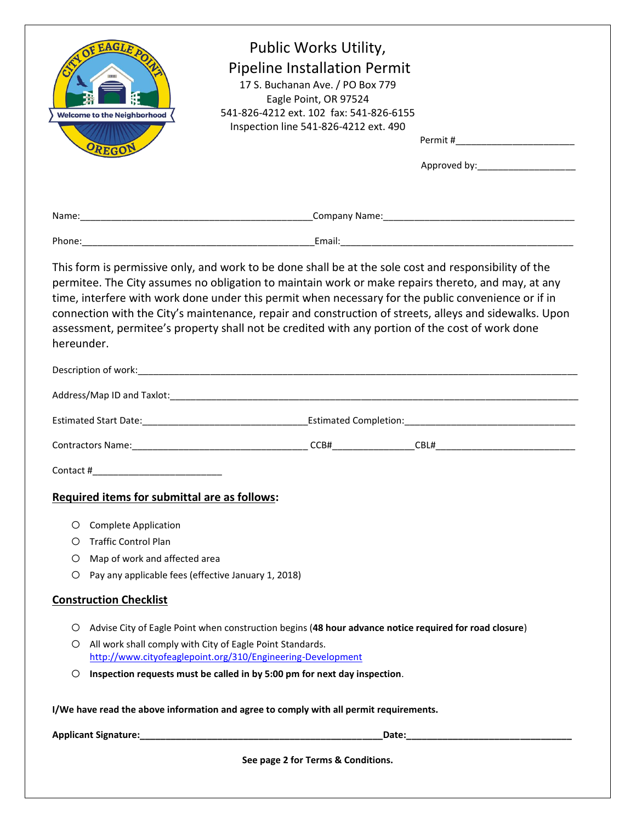| OF EAGLE<br><b>Welcome to the Neighborhood</b><br>OREGON                                                        | Public Works Utility,<br><b>Pipeline Installation Permit</b><br>17 S. Buchanan Ave. / PO Box 779<br>Eagle Point, OR 97524<br>541-826-4212 ext. 102 fax: 541-826-6155<br>Inspection line 541-826-4212 ext. 490                                                                                                                                                                                                                                                                                                                   | Approved by:____________________                                                                                                                                                                                               |
|-----------------------------------------------------------------------------------------------------------------|---------------------------------------------------------------------------------------------------------------------------------------------------------------------------------------------------------------------------------------------------------------------------------------------------------------------------------------------------------------------------------------------------------------------------------------------------------------------------------------------------------------------------------|--------------------------------------------------------------------------------------------------------------------------------------------------------------------------------------------------------------------------------|
|                                                                                                                 |                                                                                                                                                                                                                                                                                                                                                                                                                                                                                                                                 |                                                                                                                                                                                                                                |
|                                                                                                                 |                                                                                                                                                                                                                                                                                                                                                                                                                                                                                                                                 |                                                                                                                                                                                                                                |
| hereunder.                                                                                                      | This form is permissive only, and work to be done shall be at the sole cost and responsibility of the<br>permitee. The City assumes no obligation to maintain work or make repairs thereto, and may, at any<br>time, interfere with work done under this permit when necessary for the public convenience or if in<br>connection with the City's maintenance, repair and construction of streets, alleys and sidewalks. Upon<br>assessment, permitee's property shall not be credited with any portion of the cost of work done |                                                                                                                                                                                                                                |
|                                                                                                                 |                                                                                                                                                                                                                                                                                                                                                                                                                                                                                                                                 |                                                                                                                                                                                                                                |
|                                                                                                                 |                                                                                                                                                                                                                                                                                                                                                                                                                                                                                                                                 |                                                                                                                                                                                                                                |
|                                                                                                                 |                                                                                                                                                                                                                                                                                                                                                                                                                                                                                                                                 |                                                                                                                                                                                                                                |
|                                                                                                                 |                                                                                                                                                                                                                                                                                                                                                                                                                                                                                                                                 |                                                                                                                                                                                                                                |
|                                                                                                                 |                                                                                                                                                                                                                                                                                                                                                                                                                                                                                                                                 |                                                                                                                                                                                                                                |
| Required items for submittal are as follows:                                                                    |                                                                                                                                                                                                                                                                                                                                                                                                                                                                                                                                 |                                                                                                                                                                                                                                |
| <b>Complete Application</b><br>O<br><b>Traffic Control Plan</b><br>O<br>Map of work and affected area<br>O<br>O | Pay any applicable fees (effective January 1, 2018)                                                                                                                                                                                                                                                                                                                                                                                                                                                                             |                                                                                                                                                                                                                                |
| <b>Construction Checklist</b>                                                                                   |                                                                                                                                                                                                                                                                                                                                                                                                                                                                                                                                 |                                                                                                                                                                                                                                |
| O<br>O<br>O.                                                                                                    | Advise City of Eagle Point when construction begins (48 hour advance notice required for road closure)<br>All work shall comply with City of Eagle Point Standards.<br>http://www.cityofeaglepoint.org/310/Engineering-Development<br>Inspection requests must be called in by 5:00 pm for next day inspection.                                                                                                                                                                                                                 |                                                                                                                                                                                                                                |
|                                                                                                                 | I/We have read the above information and agree to comply with all permit requirements.                                                                                                                                                                                                                                                                                                                                                                                                                                          |                                                                                                                                                                                                                                |
|                                                                                                                 |                                                                                                                                                                                                                                                                                                                                                                                                                                                                                                                                 | Date: the contract of the contract of the contract of the contract of the contract of the contract of the contract of the contract of the contract of the contract of the contract of the contract of the contract of the cont |
|                                                                                                                 | See page 2 for Terms & Conditions.                                                                                                                                                                                                                                                                                                                                                                                                                                                                                              |                                                                                                                                                                                                                                |